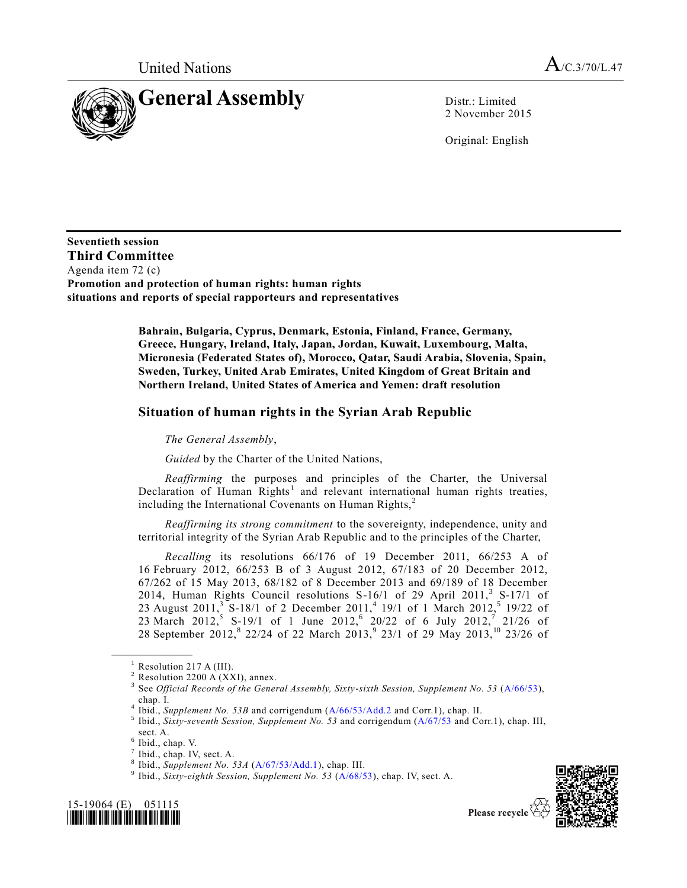

2 November 2015

Original: English

**Seventieth session Third Committee**  Agenda item 72 (c) **Promotion and protection of human rights: human rights situations and reports of special rapporteurs and representatives**

> **Bahrain, Bulgaria, Cyprus, Denmark, Estonia, Finland, France, Germany, Greece, Hungary, Ireland, Italy, Japan, Jordan, Kuwait, Luxembourg, Malta, Micronesia (Federated States of), Morocco, Qatar, Saudi Arabia, Slovenia, Spain, Sweden, Turkey, United Arab Emirates, United Kingdom of Great Britain and Northern Ireland, United States of America and Yemen: draft resolution**

## **Situation of human rights in the Syrian Arab Republic**

*The General Assembly*,

*Guided* by the Charter of the United Nations,

*Reaffirming* the purposes and principles of the Charter, the Universal Declaration of Human Rights<sup>1</sup> and relevant international human rights treaties, including the International Covenants on Human Rights, $<sup>2</sup>$ </sup>

*Reaffirming its strong commitment* to the sovereignty, independence, unity and territorial integrity of the Syrian Arab Republic and to the principles of the Charter,

*Recalling* its resolutions 66/176 of 19 December 2011, 66/253 A of 16 February 2012, 66/253 B of 3 August 2012, 67/183 of 20 December 2012, 67/262 of 15 May 2013, 68/182 of 8 December 2013 and 69/189 of 18 December 2014, Human Rights Council resolutions S-16/1 of 29 April 2011,<sup>3</sup> S-17/1 of 23 August 2011,<sup>3</sup> S-18/1 of 2 December 2011,<sup>4</sup> 19/1 of 1 March 2012,<sup>5</sup> 19/22 of 23 March 2012,<sup>5</sup> S-19/1 of 1 June 2012,<sup>6</sup> 20/22 of 6 July 2012,<sup>7</sup> 21/26 of 28 September 2012,<sup>8</sup> 22/24 of 22 March 2013,<sup>9</sup> 23/1 of 29 May 2013,<sup>10</sup> 23/26 of

**\_\_\_\_\_\_\_\_\_\_\_\_\_\_\_\_\_\_**

<sup>9</sup> Ibid., *Sixty-eighth Session, Supplement No. 53* [\(A/68/53\)](http://undocs.org/A/68/53), chap. IV, sect. A.





Please recycle

<sup>&</sup>lt;sup>1</sup> Resolution 217 A (III).

Resolution 2200 A (XXI), annex.

<sup>3</sup> See *Official Records of the General Assembly, Sixty-sixth Session, Supplement No. 53* [\(A/66/53\)](http://undocs.org/A/66/53), chap. I.

<sup>4</sup> Ibid., *Supplement No. 53B* and corrigendum [\(A/66/53/Add.2](http://undocs.org/A/66/53/Add.2) and Corr.1), chap. II.

<sup>5</sup> Ibid., *Sixty-seventh Session, Supplement No. 53* and corrigendum [\(A/67/53](http://undocs.org/A/67/53) and Corr.1), chap. III, sect. A.

 $6$  Ibid., chap. V.

 $<sup>7</sup>$  Ibid., chap. IV, sect. A.</sup>

<sup>8</sup> Ibid., *Supplement No. 53A* [\(A/67/53/Add.1\)](http://undocs.org/A/67/53/Add.1), chap. III.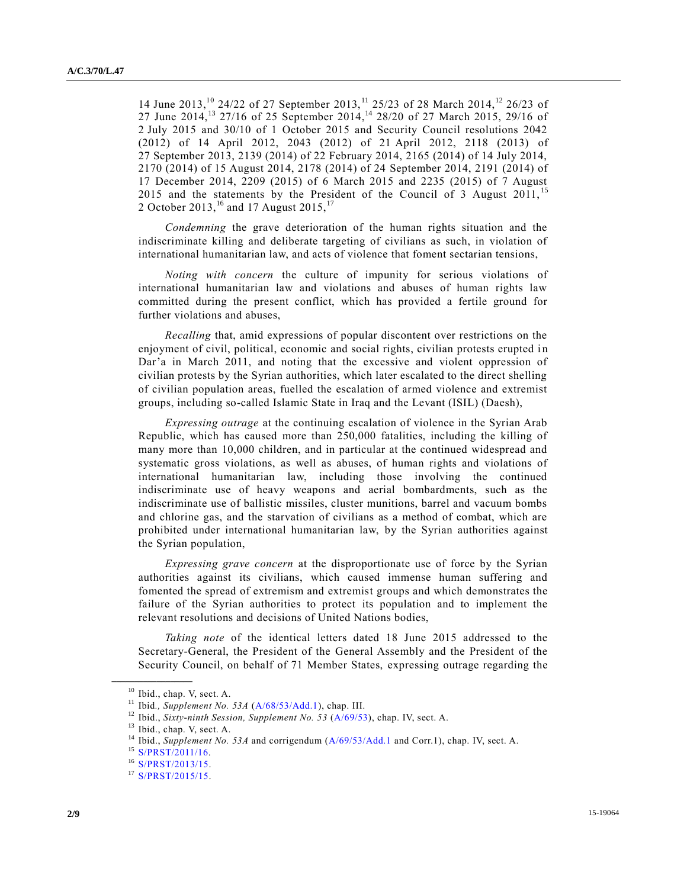14 June 2013,<sup>10</sup> 24/22 of 27 September 2013,<sup>11</sup> 25/23 of 28 March 2014,<sup>12</sup> 26/23 of 27 June 2014,<sup>13</sup> 27/16 of 25 September 2014,<sup>14</sup> 28/20 of 27 March 2015, 29/16 of 2 July 2015 and 30/10 of 1 October 2015 and Security Council resolutions 2042 (2012) of 14 April 2012, 2043 (2012) of 21 April 2012, 2118 (2013) of 27 September 2013, 2139 (2014) of 22 February 2014, 2165 (2014) of 14 July 2014, 2170 (2014) of 15 August 2014, 2178 (2014) of 24 September 2014, 2191 (2014) of 17 December 2014, 2209 (2015) of 6 March 2015 and 2235 (2015) of 7 August 2015 and the statements by the President of the Council of 3 August 2011, <sup>15</sup> 2 October 2013,<sup>16</sup> and 17 August 2015,<sup>17</sup>

*Condemning* the grave deterioration of the human rights situation and the indiscriminate killing and deliberate targeting of civilians as such, in violation of international humanitarian law, and acts of violence that foment sectarian tensions,

*Noting with concern* the culture of impunity for serious violations of international humanitarian law and violations and abuses of human rights law committed during the present conflict, which has provided a fertile ground for further violations and abuses,

*Recalling* that, amid expressions of popular discontent over restrictions on the enjoyment of civil, political, economic and social rights, civilian protests erupted in Dar'a in March 2011, and noting that the excessive and violent oppression of civilian protests by the Syrian authorities, which later escalated to the direct shelling of civilian population areas, fuelled the escalation of armed violence and extremist groups, including so-called Islamic State in Iraq and the Levant (ISIL) (Daesh),

*Expressing outrage* at the continuing escalation of violence in the Syrian Arab Republic, which has caused more than 250,000 fatalities, including the killing of many more than 10,000 children, and in particular at the continued widespread and systematic gross violations, as well as abuses, of human rights and violations of international humanitarian law, including those involving the continued indiscriminate use of heavy weapons and aerial bombardments, such as the indiscriminate use of ballistic missiles, cluster munitions, barrel and vacuum bombs and chlorine gas, and the starvation of civilians as a method of combat, which are prohibited under international humanitarian law, by the Syrian authorities against the Syrian population,

*Expressing grave concern* at the disproportionate use of force by the Syrian authorities against its civilians, which caused immense human suffering and fomented the spread of extremism and extremist groups and which demonstrates the failure of the Syrian authorities to protect its population and to implement the relevant resolutions and decisions of United Nations bodies,

*Taking note* of the identical letters dated 18 June 2015 addressed to the Secretary-General, the President of the General Assembly and the President of the Security Council, on behalf of 71 Member States, expressing outrage regarding the

<sup>&</sup>lt;sup>10</sup> Ibid., chap. V, sect. A.

<sup>11</sup> Ibid*., Supplement No. 53A* [\(A/68/53/Add.1\)](http://undocs.org/A/68/53/Add.1), chap. III.

<sup>12</sup> Ibid., *Sixty-ninth Session, Supplement No. 53* [\(A/69/53\)](http://undocs.org/A/69/53), chap. IV, sect. A.

<sup>&</sup>lt;sup>13</sup> Ibid., chap. V, sect. A.

<sup>&</sup>lt;sup>14</sup> Ibid., *Supplement No. 53A* and corrigendum [\(A/69/53/Add.1](http://undocs.org/A/69/53/Add.1) and Corr.1), chap. IV, sect. A.

<sup>15</sup> [S/PRST/2011/16.](http://undocs.org/S/PRST/2011/16)

<sup>16</sup> [S/PRST/2013/15.](http://undocs.org/S/PRST/2013/15)

<sup>&</sup>lt;sup>17</sup> [S/PRST/2015/15.](http://undocs.org/S/PRST/2015/15)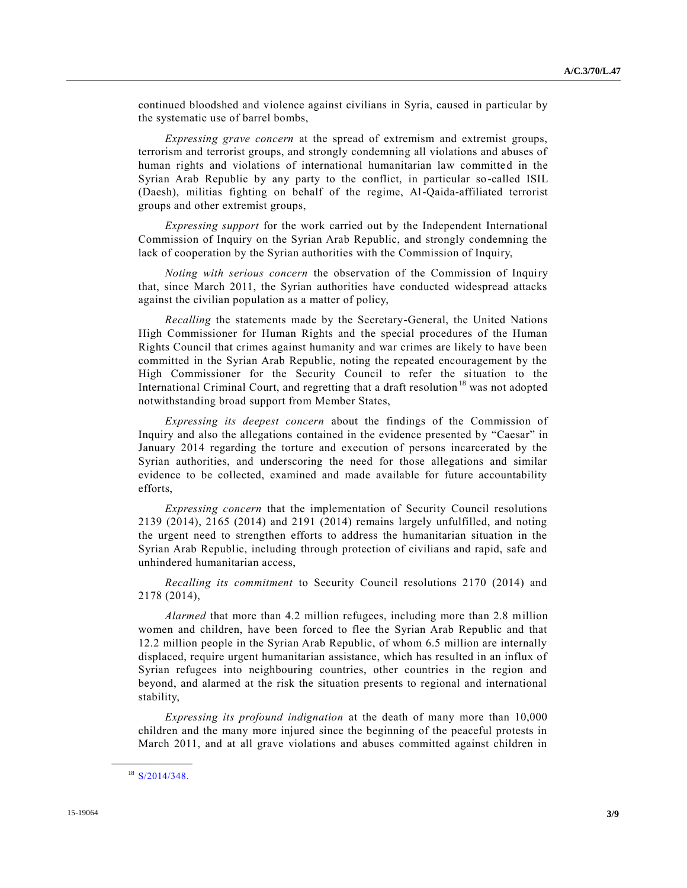continued bloodshed and violence against civilians in Syria, caused in particular by the systematic use of barrel bombs,

*Expressing grave concern* at the spread of extremism and extremist groups, terrorism and terrorist groups, and strongly condemning all violations and abuses of human rights and violations of international humanitarian law committed in the Syrian Arab Republic by any party to the conflict, in particular so-called ISIL (Daesh), militias fighting on behalf of the regime, Al-Qaida-affiliated terrorist groups and other extremist groups,

*Expressing support* for the work carried out by the Independent International Commission of Inquiry on the Syrian Arab Republic, and strongly condemning the lack of cooperation by the Syrian authorities with the Commission of Inquiry,

*Noting with serious concern* the observation of the Commission of Inquiry that, since March 2011, the Syrian authorities have conducted widespread attacks against the civilian population as a matter of policy,

*Recalling* the statements made by the Secretary-General, the United Nations High Commissioner for Human Rights and the special procedures of the Human Rights Council that crimes against humanity and war crimes are likely to have been committed in the Syrian Arab Republic, noting the repeated encouragement by the High Commissioner for the Security Council to refer the situation to the International Criminal Court, and regretting that a draft resolution<sup>18</sup> was not adopted notwithstanding broad support from Member States,

*Expressing its deepest concern* about the findings of the Commission of Inquiry and also the allegations contained in the evidence presented by "Caesar" in January 2014 regarding the torture and execution of persons incarcerated by the Syrian authorities, and underscoring the need for those allegations and similar evidence to be collected, examined and made available for future accountability efforts,

*Expressing concern* that the implementation of Security Council resolutions 2139 (2014), 2165 (2014) and 2191 (2014) remains largely unfulfilled, and noting the urgent need to strengthen efforts to address the humanitarian situation in the Syrian Arab Republic, including through protection of civilians and rapid, safe and unhindered humanitarian access,

*Recalling its commitment* to Security Council resolutions 2170 (2014) and 2178 (2014),

*Alarmed* that more than 4.2 million refugees, including more than 2.8 million women and children, have been forced to flee the Syrian Arab Republic and that 12.2 million people in the Syrian Arab Republic, of whom 6.5 million are internally displaced, require urgent humanitarian assistance, which has resulted in an influx of Syrian refugees into neighbouring countries, other countries in the region and beyond, and alarmed at the risk the situation presents to regional and international stability,

*Expressing its profound indignation* at the death of many more than 10,000 children and the many more injured since the beginning of the peaceful protests in March 2011, and at all grave violations and abuses committed against children in

<sup>18</sup> [S/2014/348.](http://undocs.org/S/2014/348)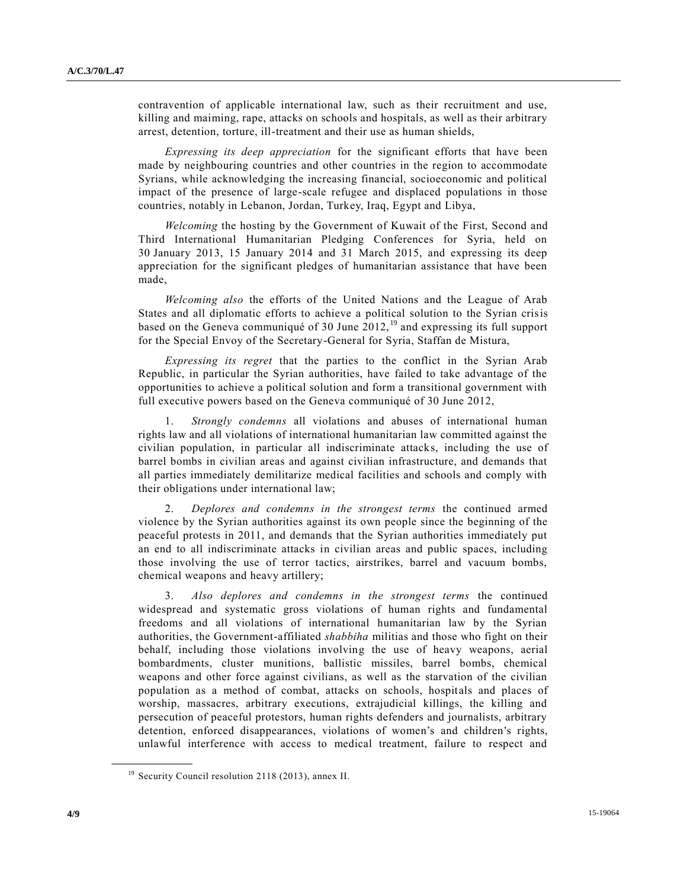contravention of applicable international law, such as their recruitment and use, killing and maiming, rape, attacks on schools and hospitals, as well as their arbitrary arrest, detention, torture, ill-treatment and their use as human shields,

*Expressing its deep appreciation* for the significant efforts that have been made by neighbouring countries and other countries in the region to accommodate Syrians, while acknowledging the increasing financial, socioeconomic and political impact of the presence of large-scale refugee and displaced populations in those countries, notably in Lebanon, Jordan, Turkey, Iraq, Egypt and Libya,

*Welcoming* the hosting by the Government of Kuwait of the First, Second and Third International Humanitarian Pledging Conferences for Syria, held on 30 January 2013, 15 January 2014 and 31 March 2015, and expressing its deep appreciation for the significant pledges of humanitarian assistance that have been made,

*Welcoming also* the efforts of the United Nations and the League of Arab States and all diplomatic efforts to achieve a political solution to the Syrian crisis based on the Geneva communiqué of 30 June 2012, <sup>19</sup> and expressing its full support for the Special Envoy of the Secretary-General for Syria, Staffan de Mistura,

*Expressing its regret* that the parties to the conflict in the Syrian Arab Republic, in particular the Syrian authorities, have failed to take advantage of the opportunities to achieve a political solution and form a transitional government with full executive powers based on the Geneva communiqué of 30 June 2012,

1. *Strongly condemns* all violations and abuses of international human rights law and all violations of international humanitarian law committed against the civilian population, in particular all indiscriminate attacks, including the use of barrel bombs in civilian areas and against civilian infrastructure, and demands that all parties immediately demilitarize medical facilities and schools and comply with their obligations under international law;

2. *Deplores and condemns in the strongest terms* the continued armed violence by the Syrian authorities against its own people since the beginning of the peaceful protests in 2011, and demands that the Syrian authorities immediately put an end to all indiscriminate attacks in civilian areas and public spaces, including those involving the use of terror tactics, airstrikes, barrel and vacuum bombs, chemical weapons and heavy artillery;

3. *Also deplores and condemns in the strongest terms* the continued widespread and systematic gross violations of human rights and fundamental freedoms and all violations of international humanitarian law by the Syrian authorities, the Government-affiliated *shabbiha* militias and those who fight on their behalf, including those violations involving the use of heavy weapons, aerial bombardments, cluster munitions, ballistic missiles, barrel bombs, chemical weapons and other force against civilians, as well as the starvation of the civilian population as a method of combat, attacks on schools, hospitals and places of worship, massacres, arbitrary executions, extrajudicial killings, the killing and persecution of peaceful protestors, human rights defenders and journalists, arbitrary detention, enforced disappearances, violations of women's and children's rights, unlawful interference with access to medical treatment, failure to respect and

<sup>19</sup> Security Council resolution 2118 (2013), annex II.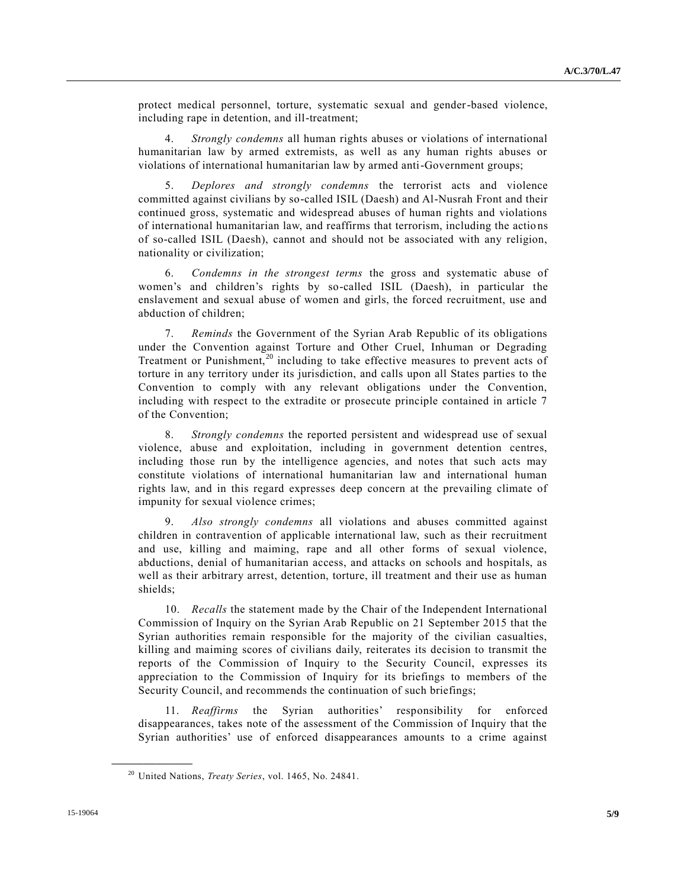protect medical personnel, torture, systematic sexual and gender-based violence, including rape in detention, and ill-treatment;

4. *Strongly condemns* all human rights abuses or violations of international humanitarian law by armed extremists, as well as any human rights abuses or violations of international humanitarian law by armed anti-Government groups;

5. *Deplores and strongly condemns* the terrorist acts and violence committed against civilians by so-called ISIL (Daesh) and Al-Nusrah Front and their continued gross, systematic and widespread abuses of human rights and violations of international humanitarian law, and reaffirms that terrorism, including the actio ns of so-called ISIL (Daesh), cannot and should not be associated with any religion, nationality or civilization;

6. *Condemns in the strongest terms* the gross and systematic abuse of women's and children's rights by so-called ISIL (Daesh), in particular the enslavement and sexual abuse of women and girls, the forced recruitment, use and abduction of children;

7. *Reminds* the Government of the Syrian Arab Republic of its obligations under the Convention against Torture and Other Cruel, Inhuman or Degrading Treatment or Punishment, $20$  including to take effective measures to prevent acts of torture in any territory under its jurisdiction, and calls upon all States parties to the Convention to comply with any relevant obligations under the Convention, including with respect to the extradite or prosecute principle contained in article 7 of the Convention;

8. *Strongly condemns* the reported persistent and widespread use of sexual violence, abuse and exploitation, including in government detention centres, including those run by the intelligence agencies, and notes that such acts may constitute violations of international humanitarian law and international human rights law, and in this regard expresses deep concern at the prevailing climate of impunity for sexual violence crimes;

9. *Also strongly condemns* all violations and abuses committed against children in contravention of applicable international law, such as their recruitment and use, killing and maiming, rape and all other forms of sexual violence, abductions, denial of humanitarian access, and attacks on schools and hospitals, as well as their arbitrary arrest, detention, torture, ill treatment and their use as human shields;

10. *Recalls* the statement made by the Chair of the Independent International Commission of Inquiry on the Syrian Arab Republic on 21 September 2015 that the Syrian authorities remain responsible for the majority of the civilian casualties, killing and maiming scores of civilians daily, reiterates its decision to transmit the reports of the Commission of Inquiry to the Security Council, expresses its appreciation to the Commission of Inquiry for its briefings to members of the Security Council, and recommends the continuation of such briefings;

11. *Reaffirms* the Syrian authorities' responsibility for enforced disappearances, takes note of the assessment of the Commission of Inquiry that the Syrian authorities' use of enforced disappearances amounts to a crime against

<sup>20</sup> United Nations, *Treaty Series*, vol. 1465, No. 24841.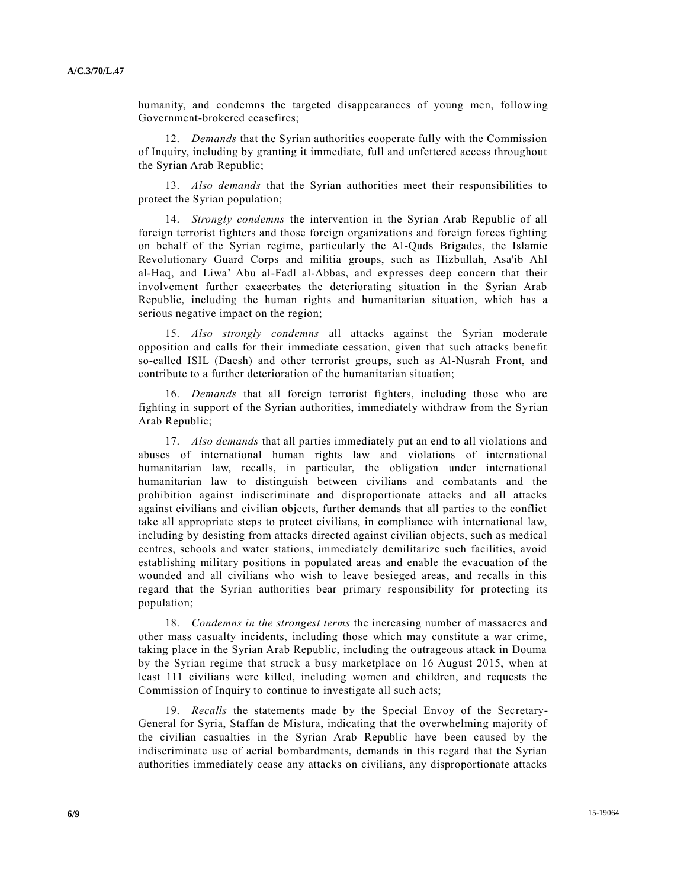humanity, and condemns the targeted disappearances of young men, following Government-brokered ceasefires;

12. *Demands* that the Syrian authorities cooperate fully with the Commission of Inquiry, including by granting it immediate, full and unfettered access throughout the Syrian Arab Republic;

13. *Also demands* that the Syrian authorities meet their responsibilities to protect the Syrian population;

14. *Strongly condemns* the intervention in the Syrian Arab Republic of all foreign terrorist fighters and those foreign organizations and foreign forces fighting on behalf of the Syrian regime, particularly the Al-Quds Brigades, the Islamic Revolutionary Guard Corps and militia groups, such as Hizbullah, Asa'ib Ahl al-Haq, and Liwa' Abu al-Fadl al-Abbas, and expresses deep concern that their involvement further exacerbates the deteriorating situation in the Syrian Arab Republic, including the human rights and humanitarian situation, which has a serious negative impact on the region;

15. *Also strongly condemns* all attacks against the Syrian moderate opposition and calls for their immediate cessation, given that such attacks benefit so-called ISIL (Daesh) and other terrorist groups, such as Al-Nusrah Front, and contribute to a further deterioration of the humanitarian situation;

16. *Demands* that all foreign terrorist fighters, including those who are fighting in support of the Syrian authorities, immediately withdraw from the Syrian Arab Republic;

17. *Also demands* that all parties immediately put an end to all violations and abuses of international human rights law and violations of international humanitarian law, recalls, in particular, the obligation under international humanitarian law to distinguish between civilians and combatants and the prohibition against indiscriminate and disproportionate attacks and all attacks against civilians and civilian objects, further demands that all parties to the conflict take all appropriate steps to protect civilians, in compliance with international law, including by desisting from attacks directed against civilian objects, such as medical centres, schools and water stations, immediately demilitarize such facilities, avoid establishing military positions in populated areas and enable the evacuation of the wounded and all civilians who wish to leave besieged areas, and recalls in this regard that the Syrian authorities bear primary responsibility for protecting its population;

18. *Condemns in the strongest terms* the increasing number of massacres and other mass casualty incidents, including those which may constitute a war crime, taking place in the Syrian Arab Republic, including the outrageous attack in Douma by the Syrian regime that struck a busy marketplace on 16 August 2015, when at least 111 civilians were killed, including women and children, and requests the Commission of Inquiry to continue to investigate all such acts;

19. *Recalls* the statements made by the Special Envoy of the Secretary-General for Syria, Staffan de Mistura, indicating that the overwhelming majority of the civilian casualties in the Syrian Arab Republic have been caused by the indiscriminate use of aerial bombardments, demands in this regard that the Syrian authorities immediately cease any attacks on civilians, any disproportionate attacks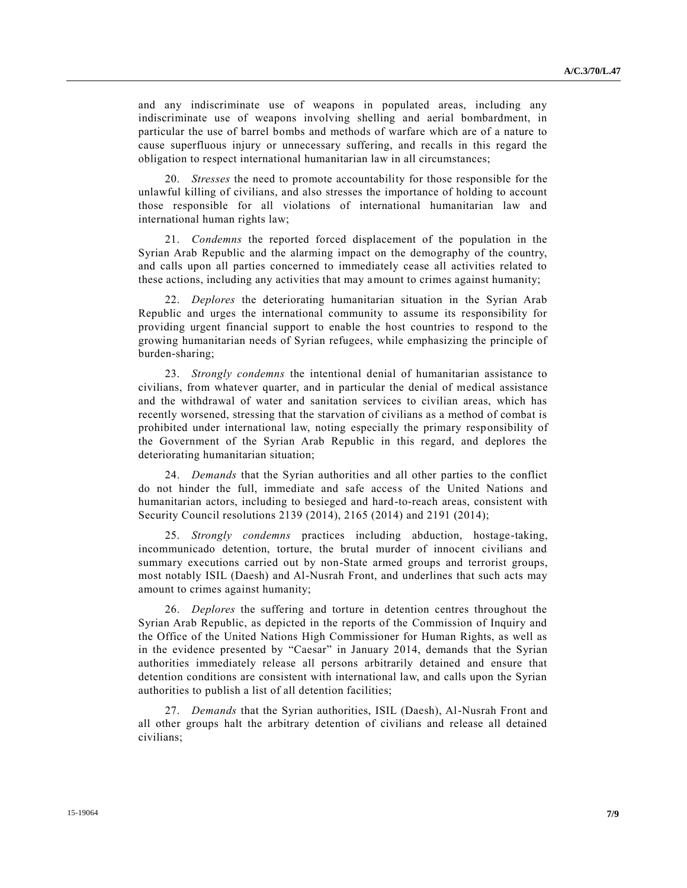and any indiscriminate use of weapons in populated areas, including any indiscriminate use of weapons involving shelling and aerial bombardment, in particular the use of barrel bombs and methods of warfare which are of a nature to cause superfluous injury or unnecessary suffering, and recalls in this regard the obligation to respect international humanitarian law in all circumstances;

20. *Stresses* the need to promote accountability for those responsible for the unlawful killing of civilians, and also stresses the importance of holding to account those responsible for all violations of international humanitarian law and international human rights law;

21. *Condemns* the reported forced displacement of the population in the Syrian Arab Republic and the alarming impact on the demography of the country, and calls upon all parties concerned to immediately cease all activities related to these actions, including any activities that may amount to crimes against humanity;

22. *Deplores* the deteriorating humanitarian situation in the Syrian Arab Republic and urges the international community to assume its responsibility for providing urgent financial support to enable the host countries to respond to the growing humanitarian needs of Syrian refugees, while emphasizing the principle of burden-sharing;

23. *Strongly condemns* the intentional denial of humanitarian assistance to civilians, from whatever quarter, and in particular the denial of medical assistance and the withdrawal of water and sanitation services to civilian areas, which has recently worsened, stressing that the starvation of civilians as a method of combat is prohibited under international law, noting especially the primary responsibility of the Government of the Syrian Arab Republic in this regard, and deplores the deteriorating humanitarian situation;

24. *Demands* that the Syrian authorities and all other parties to the conflict do not hinder the full, immediate and safe access of the United Nations and humanitarian actors, including to besieged and hard-to-reach areas, consistent with Security Council resolutions 2139 (2014), 2165 (2014) and 2191 (2014);

25. *Strongly condemns* practices including abduction, hostage-taking, incommunicado detention, torture, the brutal murder of innocent civilians and summary executions carried out by non-State armed groups and terrorist groups, most notably ISIL (Daesh) and Al-Nusrah Front, and underlines that such acts may amount to crimes against humanity;

26. *Deplores* the suffering and torture in detention centres throughout the Syrian Arab Republic, as depicted in the reports of the Commission of Inquiry and the Office of the United Nations High Commissioner for Human Rights, as well as in the evidence presented by "Caesar" in January 2014, demands that the Syrian authorities immediately release all persons arbitrarily detained and ensure that detention conditions are consistent with international law, and calls upon the Syrian authorities to publish a list of all detention facilities;

27. *Demands* that the Syrian authorities, ISIL (Daesh), Al-Nusrah Front and all other groups halt the arbitrary detention of civilians and release all detained civilians;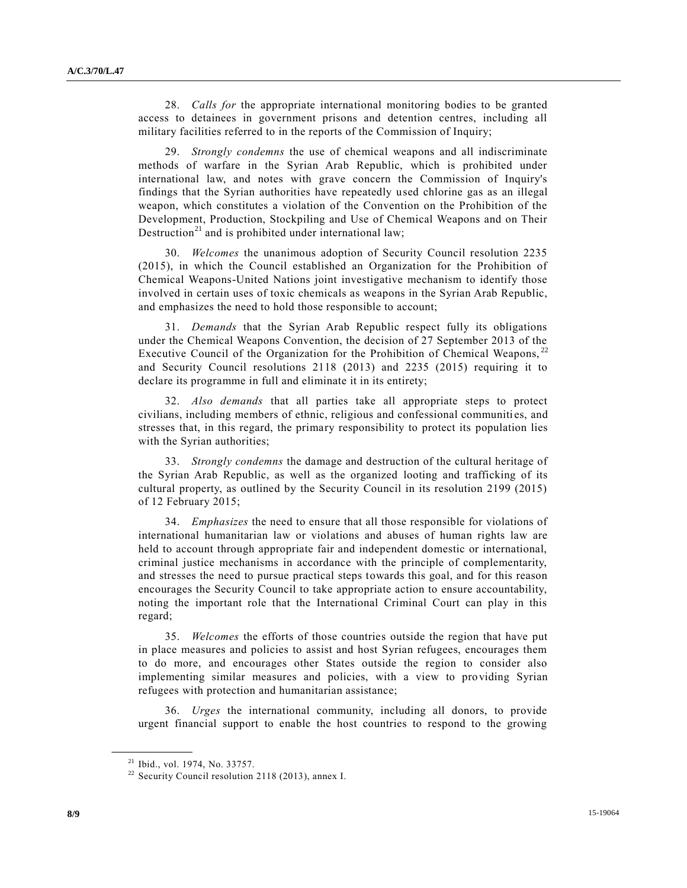28. *Calls for* the appropriate international monitoring bodies to be granted access to detainees in government prisons and detention centres, including all military facilities referred to in the reports of the Commission of Inquiry;

29. *Strongly condemns* the use of chemical weapons and all indiscriminate methods of warfare in the Syrian Arab Republic, which is prohibited under international law, and notes with grave concern the Commission of Inquiry's findings that the Syrian authorities have repeatedly used chlorine gas as an illegal weapon, which constitutes a violation of the Convention on the Prohibition of the Development, Production, Stockpiling and Use of Chemical Weapons and on Their Destruction<sup>21</sup> and is prohibited under international law;

30. *Welcomes* the unanimous adoption of Security Council resolution 2235 (2015), in which the Council established an Organization for the Prohibition of Chemical Weapons-United Nations joint investigative mechanism to identify those involved in certain uses of toxic chemicals as weapons in the Syrian Arab Republic, and emphasizes the need to hold those responsible to account;

31. *Demands* that the Syrian Arab Republic respect fully its obligations under the Chemical Weapons Convention, the decision of 27 September 2013 of the Executive Council of the Organization for the Prohibition of Chemical Weapons, <sup>22</sup> and Security Council resolutions 2118 (2013) and 2235 (2015) requiring it to declare its programme in full and eliminate it in its entirety;

32. *Also demands* that all parties take all appropriate steps to protect civilians, including members of ethnic, religious and confessional communiti es, and stresses that, in this regard, the primary responsibility to protect its population lies with the Syrian authorities;

33. *Strongly condemns* the damage and destruction of the cultural heritage of the Syrian Arab Republic, as well as the organized looting and trafficking of its cultural property, as outlined by the Security Council in its resolution 2199 (2015) of 12 February 2015;

34. *Emphasizes* the need to ensure that all those responsible for violations of international humanitarian law or violations and abuses of human rights law are held to account through appropriate fair and independent domestic or international, criminal justice mechanisms in accordance with the principle of complementarity, and stresses the need to pursue practical steps towards this goal, and for this reason encourages the Security Council to take appropriate action to ensure accountability, noting the important role that the International Criminal Court can play in this regard;

35. *Welcomes* the efforts of those countries outside the region that have put in place measures and policies to assist and host Syrian refugees, encourages them to do more, and encourages other States outside the region to consider also implementing similar measures and policies, with a view to providing Syrian refugees with protection and humanitarian assistance;

36. *Urges* the international community, including all donors, to provide urgent financial support to enable the host countries to respond to the growing

<sup>21</sup> Ibid., vol. 1974, No. 33757.

<sup>&</sup>lt;sup>22</sup> Security Council resolution 2118 (2013), annex I.